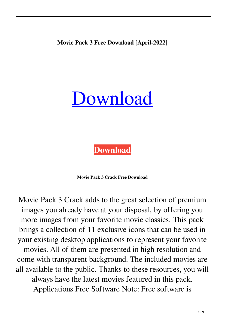**Movie Pack 3 Free Download [April-2022]**

## [Download](http://evacdir.com/celebrity/ZG93bmxvYWR8dno0TjNZNGMzeDhNVFkxTkRVeU1qRXhNSHg4TWpVNU1IeDhLRTBwSUZkdmNtUndjbVZ6Y3lCYldFMU1VbEJESUZZeUlGQkVSbDA.TW92aWUgUGFjayAzTW9/visibility/flusheswin.following/intercellular.prostaglands.lignes)

**[Download](http://evacdir.com/celebrity/ZG93bmxvYWR8dno0TjNZNGMzeDhNVFkxTkRVeU1qRXhNSHg4TWpVNU1IeDhLRTBwSUZkdmNtUndjbVZ6Y3lCYldFMU1VbEJESUZZeUlGQkVSbDA.TW92aWUgUGFjayAzTW9/visibility/flusheswin.following/intercellular.prostaglands.lignes)**

**Movie Pack 3 Crack Free Download**

Movie Pack 3 Crack adds to the great selection of premium images you already have at your disposal, by offering you more images from your favorite movie classics. This pack brings a collection of 11 exclusive icons that can be used in your existing desktop applications to represent your favorite movies. All of them are presented in high resolution and come with transparent background. The included movies are all available to the public. Thanks to these resources, you will always have the latest movies featured in this pack. Applications Free Software Note: Free software is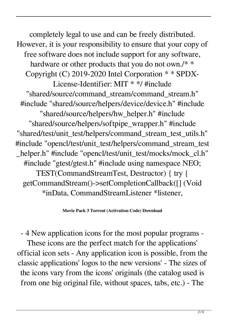completely legal to use and can be freely distributed. However, it is your responsibility to ensure that your copy of free software does not include support for any software, hardware or other products that you do not own./\* \* Copyright (C) 2019-2020 Intel Corporation \* \* SPDX-License-Identifier: MIT \* \*/ #include "shared/source/command\_stream/command\_stream.h" #include "shared/source/helpers/device/device.h" #include "shared/source/helpers/hw\_helper.h" #include "shared/source/helpers/softpipe\_wrapper.h" #include "shared/test/unit\_test/helpers/command\_stream\_test\_utils.h" #include "opencl/test/unit\_test/helpers/command\_stream\_test \_helper.h" #include "opencl/test/unit\_test/mocks/mock\_cl.h" #include "gtest/gtest.h" #include using namespace NEO; TEST(CommandStreamTest, Destructor) { try { getCommandStream()->setCompletionCallback([] (Void \*inData, CommandStreamListener \*listener,

## **Movie Pack 3 Torrent (Activation Code) Download**

- 4 New application icons for the most popular programs -

These icons are the perfect match for the applications' official icon sets - Any application icon is possible, from the classic applications' logos to the new versions' - The sizes of the icons vary from the icons' originals (the catalog used is from one big original file, without spaces, tabs, etc.) - The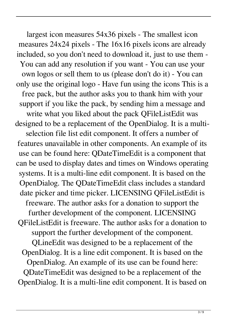largest icon measures 54x36 pixels - The smallest icon measures 24x24 pixels - The 16x16 pixels icons are already included, so you don't need to download it, just to use them - You can add any resolution if you want - You can use your own logos or sell them to us (please don't do it) - You can only use the original logo - Have fun using the icons This is a free pack, but the author asks you to thank him with your support if you like the pack, by sending him a message and write what you liked about the pack QFileListEdit was designed to be a replacement of the OpenDialog. It is a multiselection file list edit component. It offers a number of features unavailable in other components. An example of its use can be found here: QDateTimeEdit is a component that can be used to display dates and times on Windows operating systems. It is a multi-line edit component. It is based on the OpenDialog. The QDateTimeEdit class includes a standard date picker and time picker. LICENSING QFileListEdit is freeware. The author asks for a donation to support the further development of the component. LICENSING QFileListEdit is freeware. The author asks for a donation to support the further development of the component. QLineEdit was designed to be a replacement of the OpenDialog. It is a line edit component. It is based on the OpenDialog. An example of its use can be found here: QDateTimeEdit was designed to be a replacement of the OpenDialog. It is a multi-line edit component. It is based on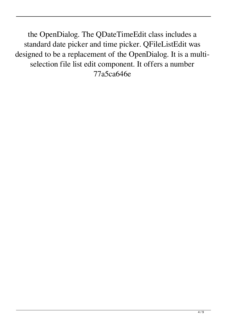the OpenDialog. The QDateTimeEdit class includes a standard date picker and time picker. QFileListEdit was designed to be a replacement of the OpenDialog. It is a multiselection file list edit component. It offers a number 77a5ca646e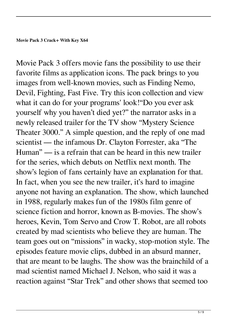Movie Pack 3 offers movie fans the possibility to use their favorite films as application icons. The pack brings to you images from well-known movies, such as Finding Nemo, Devil, Fighting, Fast Five. Try this icon collection and view what it can do for your programs' look!"Do you ever ask yourself why you haven't died yet?" the narrator asks in a newly released trailer for the TV show "Mystery Science Theater 3000." A simple question, and the reply of one mad scientist — the infamous Dr. Clayton Forrester, aka "The Human" — is a refrain that can be heard in this new trailer for the series, which debuts on Netflix next month. The show's legion of fans certainly have an explanation for that. In fact, when you see the new trailer, it's hard to imagine anyone not having an explanation. The show, which launched in 1988, regularly makes fun of the 1980s film genre of science fiction and horror, known as B-movies. The show's heroes, Kevin, Tom Servo and Crow T. Robot, are all robots created by mad scientists who believe they are human. The team goes out on "missions" in wacky, stop-motion style. The episodes feature movie clips, dubbed in an absurd manner, that are meant to be laughs. The show was the brainchild of a mad scientist named Michael J. Nelson, who said it was a reaction against "Star Trek" and other shows that seemed too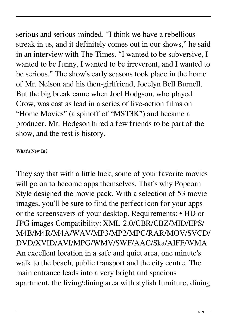serious and serious-minded. "I think we have a rebellious streak in us, and it definitely comes out in our shows," he said in an interview with The Times. "I wanted to be subversive, I wanted to be funny, I wanted to be irreverent, and I wanted to be serious." The show's early seasons took place in the home of Mr. Nelson and his then-girlfriend, Jocelyn Bell Burnell. But the big break came when Joel Hodgson, who played Crow, was cast as lead in a series of live-action films on "Home Movies" (a spinoff of "MST3K") and became a producer. Mr. Hodgson hired a few friends to be part of the show, and the rest is history.

## **What's New In?**

They say that with a little luck, some of your favorite movies will go on to become apps themselves. That's why Popcorn Style designed the movie pack. With a selection of 53 movie images, you'll be sure to find the perfect icon for your apps or the screensavers of your desktop. Requirements: • HD or JPG images Compatibility: XML-2.0/CBR/CBZ/MID/EPS/ M4B/M4R/M4A/WAV/MP3/MP2/MPC/RAR/MOV/SVCD/ DVD/XVID/AVI/MPG/WMV/SWF/AAC/Ska/AIFF/WMA An excellent location in a safe and quiet area, one minute's walk to the beach, public transport and the city centre. The main entrance leads into a very bright and spacious apartment, the living/dining area with stylish furniture, dining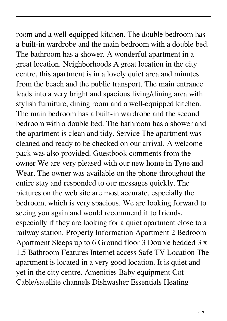room and a well-equipped kitchen. The double bedroom has a built-in wardrobe and the main bedroom with a double bed. The bathroom has a shower. A wonderful apartment in a great location. Neighborhoods A great location in the city centre, this apartment is in a lovely quiet area and minutes from the beach and the public transport. The main entrance leads into a very bright and spacious living/dining area with stylish furniture, dining room and a well-equipped kitchen. The main bedroom has a built-in wardrobe and the second bedroom with a double bed. The bathroom has a shower and the apartment is clean and tidy. Service The apartment was cleaned and ready to be checked on our arrival. A welcome pack was also provided. Guestbook comments from the owner We are very pleased with our new home in Tyne and Wear. The owner was available on the phone throughout the entire stay and responded to our messages quickly. The pictures on the web site are most accurate, especially the bedroom, which is very spacious. We are looking forward to seeing you again and would recommend it to friends, especially if they are looking for a quiet apartment close to a railway station. Property Information Apartment 2 Bedroom Apartment Sleeps up to 6 Ground floor 3 Double bedded 3 x 1.5 Bathroom Features Internet access Safe TV Location The apartment is located in a very good location. It is quiet and yet in the city centre. Amenities Baby equipment Cot Cable/satellite channels Dishwasher Essentials Heating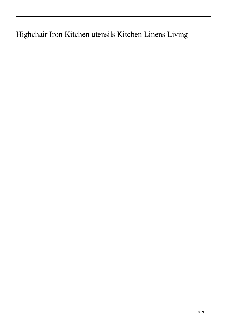Highchair Iron Kitchen utensils Kitchen Linens Living